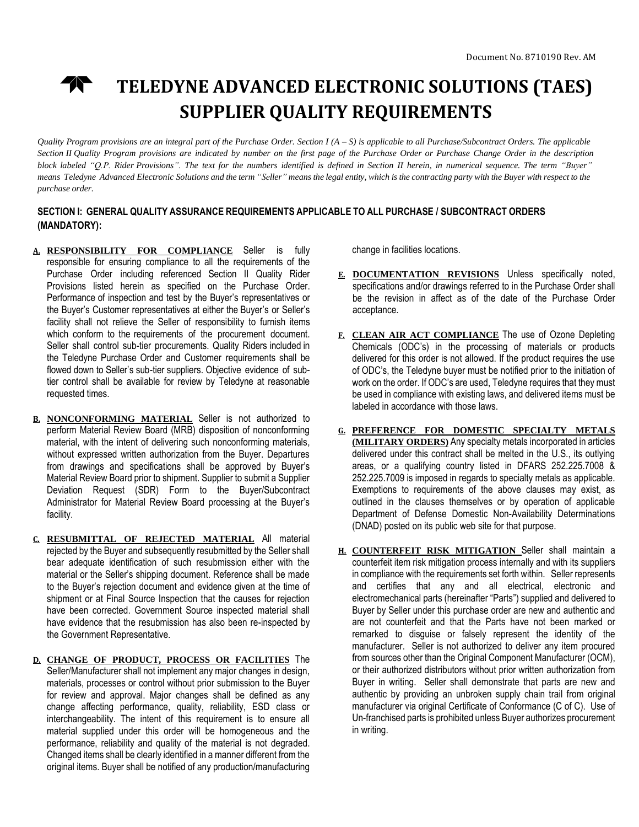

# **TELEDYNE ADVANCED ELECTRONIC SOLUTIONS (TAES) SUPPLIER QUALITY REQUIREMENTS**

Quality Program provisions are an integral part of the Purchase Order. Section  $I(A - S)$  is applicable to all Purchase/Subcontract Orders. The applicable Section II Quality Program provisions are indicated by number on the first page of the Purchase Order or Purchase Change Order in the description block labeled "Q.P. Rider Provisions". The text for the numbers identified is defined in Section II herein, in numerical sequence. The term "Buyer" means Teledyne Advanced Electronic Solutions and the term "Seller" means the legal entity, which is the contracting party with the Buyer with respect to the *purchase order.*

### **SECTION I: GENERAL QUALITY ASSURANCE REQUIREMENTS APPLICABLE TO ALL PURCHASE / SUBCONTRACT ORDERS (MANDATORY):**

- **A. RESPONSIBILITY FOR COMPLIANCE** Seller is fully responsible for ensuring compliance to all the requirements of the Purchase Order including referenced Section II Quality Rider Provisions listed herein as specified on the Purchase Order. Performance of inspection and test by the Buyer's representatives or the Buyer's Customer representatives at either the Buyer's or Seller's facility shall not relieve the Seller of responsibility to furnish items which conform to the requirements of the procurement document. Seller shall control sub-tier procurements. Quality Riders included in the Teledyne Purchase Order and Customer requirements shall be flowed down to Seller's sub-tier suppliers. Objective evidence of subtier control shall be available for review by Teledyne at reasonable requested times.
- **B. NONCONFORMING MATERIAL** Seller is not authorized to perform Material Review Board (MRB) disposition of nonconforming material, with the intent of delivering such nonconforming materials, without expressed written authorization from the Buyer. Departures from drawings and specifications shall be approved by Buyer's Material Review Board prior to shipment. Supplier to submit a Supplier Deviation Request (SDR) Form to the Buyer/Subcontract Administrator for Material Review Board processing at the Buyer's facility.
- **C. RESUBMITTAL OF REJECTED MATERIAL** All material rejected by the Buyer and subsequently resubmitted by the Seller shall bear adequate identification of such resubmission either with the material or the Seller's shipping document. Reference shall be made to the Buyer's rejection document and evidence given at the time of shipment or at Final Source Inspection that the causes for rejection have been corrected. Government Source inspected material shall have evidence that the resubmission has also been re-inspected by the Government Representative.
- **D. CHANGE OF PRODUCT, PROCESS OR FACILITIES** The Seller/Manufacturer shall not implement any major changes in design, materials, processes or control without prior submission to the Buyer for review and approval. Major changes shall be defined as any change affecting performance, quality, reliability, ESD class or interchangeability. The intent of this requirement is to ensure all material supplied under this order will be homogeneous and the performance, reliability and quality of the material is not degraded. Changed items shall be clearly identified in a manner different from the original items. Buyer shall be notified of any production/manufacturing

change in facilities locations.

- **E. DOCUMENTATION REVISIONS** Unless specifically noted, specifications and/or drawings referred to in the Purchase Order shall be the revision in affect as of the date of the Purchase Order acceptance.
- **F. CLEAN AIR ACT COMPLIANCE** The use of Ozone Depleting Chemicals (ODC's) in the processing of materials or products delivered for this order is not allowed. If the product requires the use of ODC's, the Teledyne buyer must be notified prior to the initiation of work on the order. If ODC's are used, Teledyne requires that they must be used in compliance with existing laws, and delivered items must be labeled in accordance with those laws.
- **G. PREFERENCE FOR DOMESTIC SPECIALTY METALS (MILITARY ORDERS)** Any specialty metals incorporated in articles delivered under this contract shall be melted in the U.S., its outlying areas, or a qualifying country listed in DFARS 252.225.7008 & 252.225.7009 is imposed in regards to specialty metals as applicable. Exemptions to requirements of the above clauses may exist, as outlined in the clauses themselves or by operation of applicable Department of Defense Domestic Non-Availability Determinations (DNAD) posted on its public web site for that purpose.
- **H. COUNTERFEIT RISK MITIGATION** Seller shall maintain a counterfeit item risk mitigation process internally and with its suppliers in compliance with the requirements set forth within. Seller represents and certifies that any and all electrical, electronic and electromechanical parts (hereinafter "Parts") supplied and delivered to Buyer by Seller under this purchase order are new and authentic and are not counterfeit and that the Parts have not been marked or remarked to disguise or falsely represent the identity of the manufacturer. Seller is not authorized to deliver any item procured from sources other than the Original Component Manufacturer (OCM), or their authorized distributors without prior written authorization from Buyer in writing. Seller shall demonstrate that parts are new and authentic by providing an unbroken supply chain trail from original manufacturer via original Certificate of Conformance (C of C). Use of Un-franchised parts is prohibited unless Buyer authorizes procurement in writing.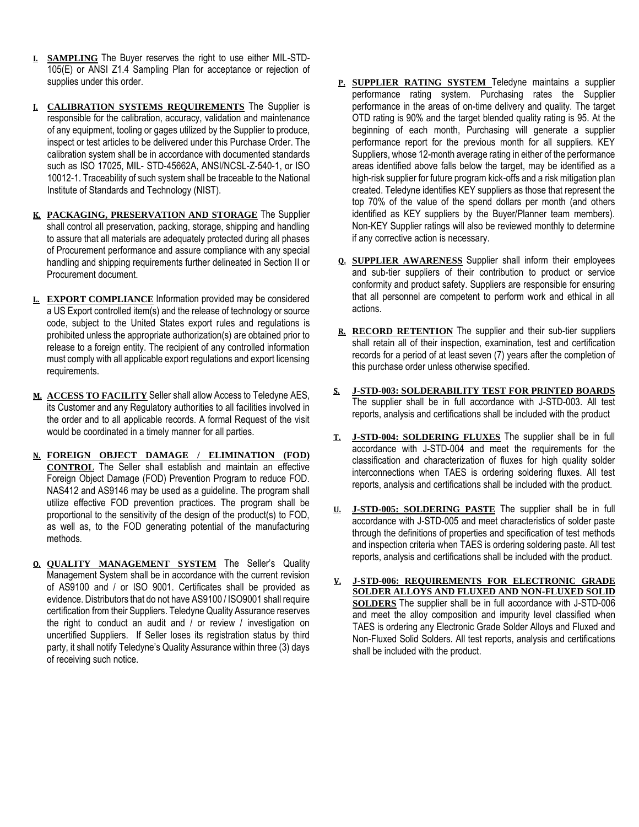- **I. SAMPLING** The Buyer reserves the right to use either MIL-STD-105(E) or ANSI Z1.4 Sampling Plan for acceptance or rejection of supplies under this order.
- **J. CALIBRATION SYSTEMS REQUIREMENTS** The Supplier is responsible for the calibration, accuracy, validation and maintenance of any equipment, tooling or gages utilized by the Supplier to produce, inspect or test articles to be delivered under this Purchase Order. The calibration system shall be in accordance with documented standards such as ISO 17025, MIL- STD-45662A, ANSI/NCSL-Z-540-1, or ISO 10012-1. Traceability of such system shall be traceable to the National Institute of Standards and Technology (NIST).
- **K. PACKAGING, PRESERVATION AND STORAGE** The Supplier shall control all preservation, packing, storage, shipping and handling to assure that all materials are adequately protected during all phases of Procurement performance and assure compliance with any special handling and shipping requirements further delineated in Section II or Procurement document.
- **L. EXPORT COMPLIANCE** Information provided may be considered a US Export controlled item(s) and the release of technology or source code, subject to the United States export rules and regulations is prohibited unless the appropriate authorization(s) are obtained prior to release to a foreign entity. The recipient of any controlled information must comply with all applicable export regulations and export licensing requirements.
- **M. ACCESS TO FACILITY** Seller shall allow Access to Teledyne AES, its Customer and any Regulatory authorities to all facilities involved in the order and to all applicable records. A formal Request of the visit would be coordinated in a timely manner for all parties.
- **N. FOREIGN OBJECT DAMAGE / ELIMINATION (FOD) CONTROL** The Seller shall establish and maintain an effective Foreign Object Damage (FOD) Prevention Program to reduce FOD. NAS412 and AS9146 may be used as a guideline. The program shall utilize effective FOD prevention practices. The program shall be proportional to the sensitivity of the design of the product(s) to FOD, as well as, to the FOD generating potential of the manufacturing methods.
- **O. QUALITY MANAGEMENT SYSTEM** The Seller's Quality Management System shall be in accordance with the current revision of AS9100 and / or ISO 9001. Certificates shall be provided as evidence. Distributors that do not have AS9100 / ISO9001 shall require certification from their Suppliers. Teledyne Quality Assurance reserves the right to conduct an audit and / or review / investigation on uncertified Suppliers. If Seller loses its registration status by third party, it shall notify Teledyne's Quality Assurance within three (3) days of receiving such notice.
- **P. SUPPLIER RATING SYSTEM** Teledyne maintains a supplier performance rating system. Purchasing rates the Supplier performance in the areas of on-time delivery and quality. The target OTD rating is 90% and the target blended quality rating is 95. At the beginning of each month, Purchasing will generate a supplier performance report for the previous month for all suppliers. KEY Suppliers, whose 12-month average rating in either of the performance areas identified above falls below the target, may be identified as a high-risk supplier for future program kick-offs and a risk mitigation plan created. Teledyne identifies KEY suppliers as those that represent the top 70% of the value of the spend dollars per month (and others identified as KEY suppliers by the Buyer/Planner team members). Non-KEY Supplier ratings will also be reviewed monthly to determine if any corrective action is necessary.
- **Q. SUPPLIER AWARENESS** Supplier shall inform their employees and sub-tier suppliers of their contribution to product or service conformity and product safety. Suppliers are responsible for ensuring that all personnel are competent to perform work and ethical in all actions.
- **R. RECORD RETENTION** The supplier and their sub-tier suppliers shall retain all of their inspection, examination, test and certification records for a period of at least seven (7) years after the completion of this purchase order unless otherwise specified.
- **S. J-STD-003: SOLDERABILITY TEST FOR PRINTED BOARDS** The supplier shall be in full accordance with J-STD-003. All test reports, analysis and certifications shall be included with the product
- **T. J-STD-004: SOLDERING FLUXES** The supplier shall be in full accordance with J-STD-004 and meet the requirements for the classification and characterization of fluxes for high quality solder interconnections when TAES is ordering soldering fluxes. All test reports, analysis and certifications shall be included with the product.
- **U. J-STD-005: SOLDERING PASTE** The supplier shall be in full accordance with J-STD-005 and meet characteristics of solder paste through the definitions of properties and specification of test methods and inspection criteria when TAES is ordering soldering paste. All test reports, analysis and certifications shall be included with the product.
- **V. J-STD-006: REQUIREMENTS FOR ELECTRONIC GRADE SOLDER ALLOYS AND FLUXED AND NON-FLUXED SOLID SOLDERS** The supplier shall be in full accordance with J-STD-006 and meet the alloy composition and impurity level classified when TAES is ordering any Electronic Grade Solder Alloys and Fluxed and Non-Fluxed Solid Solders. All test reports, analysis and certifications shall be included with the product.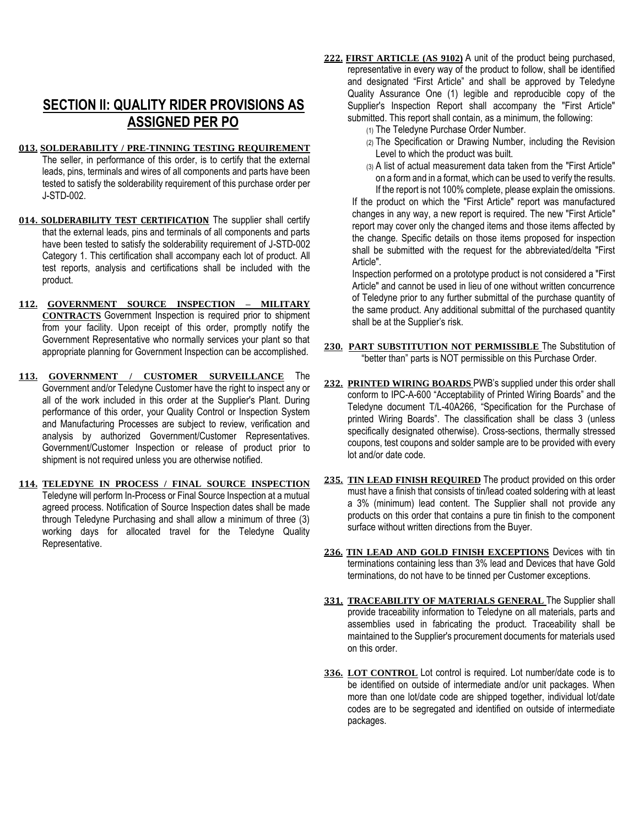## **SECTION II: QUALITY RIDER PROVISIONS AS ASSIGNED PER PO**

- **013. SOLDERABILITY / PRE-TINNING TESTING REQUIREMENT** The seller, in performance of this order, is to certify that the external leads, pins, terminals and wires of all components and parts have been tested to satisfy the solderability requirement of this purchase order per J-STD-002.
- **014. SOLDERABILITY TEST CERTIFICATION** The supplier shall certify that the external leads, pins and terminals of all components and parts have been tested to satisfy the solderability requirement of J-STD-002 Category 1. This certification shall accompany each lot of product. All test reports, analysis and certifications shall be included with the product.
- **112. GOVERNMENT SOURCE INSPECTION – MILITARY CONTRACTS** Government Inspection is required prior to shipment from your facility. Upon receipt of this order, promptly notify the Government Representative who normally services your plant so that appropriate planning for Government Inspection can be accomplished.
- **113. GOVERNMENT / CUSTOMER SURVEILLANCE** The Government and/or Teledyne Customer have the right to inspect any or all of the work included in this order at the Supplier's Plant. During performance of this order, your Quality Control or Inspection System and Manufacturing Processes are subject to review, verification and analysis by authorized Government/Customer Representatives. Government/Customer Inspection or release of product prior to shipment is not required unless you are otherwise notified.
- **114. TELEDYNE IN PROCESS / FINAL SOURCE INSPECTION** Teledyne will perform In-Process or Final Source Inspection at a mutual agreed process. Notification of Source Inspection dates shall be made through Teledyne Purchasing and shall allow a minimum of three (3) working days for allocated travel for the Teledyne Quality Representative.
- **222. FIRST ARTICLE (AS 9102)** A unit of the product being purchased, representative in every way of the product to follow, shall be identified and designated "First Article" and shall be approved by Teledyne Quality Assurance One (1) legible and reproducible copy of the Supplier's Inspection Report shall accompany the "First Article" submitted. This report shall contain, as a minimum, the following:
	- (1) The Teledyne Purchase Order Number.
	- (2) The Specification or Drawing Number, including the Revision Level to which the product was built.
	- (3) A list of actual measurement data taken from the "First Article" on a form and in a format, which can be used to verify the results. If the report is not 100% complete, please explain the omissions.

If the product on which the "First Article" report was manufactured changes in any way, a new report is required. The new "First Article" report may cover only the changed items and those items affected by the change. Specific details on those items proposed for inspection shall be submitted with the request for the abbreviated/delta "First Article".

Inspection performed on a prototype product is not considered a "First Article" and cannot be used in lieu of one without written concurrence of Teledyne prior to any further submittal of the purchase quantity of the same product. Any additional submittal of the purchased quantity shall be at the Supplier's risk.

- **230. PART SUBSTITUTION NOT PERMISSIBLE** The Substitution of "better than" parts is NOT permissible on this Purchase Order.
- **232. PRINTED WIRING BOARDS** PWB's supplied under this order shall conform to IPC-A-600 "Acceptability of Printed Wiring Boards" and the Teledyne document T/L-40A266, "Specification for the Purchase of printed Wiring Boards". The classification shall be class 3 (unless specifically designated otherwise). Cross-sections, thermally stressed coupons, test coupons and solder sample are to be provided with every lot and/or date code.
- **235. TIN LEAD FINISH REQUIRED** The product provided on this order must have a finish that consists of tin/lead coated soldering with at least a 3% (minimum) lead content. The Supplier shall not provide any products on this order that contains a pure tin finish to the component surface without written directions from the Buyer.
- **236. TIN LEAD AND GOLD FINISH EXCEPTIONS** Devices with tin terminations containing less than 3% lead and Devices that have Gold terminations, do not have to be tinned per Customer exceptions.
- **331. TRACEABILITY OF MATERIALS GENERAL** The Supplier shall provide traceability information to Teledyne on all materials, parts and assemblies used in fabricating the product. Traceability shall be maintained to the Supplier's procurement documents for materials used on this order.
- **336. LOT CONTROL** Lot control is required. Lot number/date code is to be identified on outside of intermediate and/or unit packages. When more than one lot/date code are shipped together, individual lot/date codes are to be segregated and identified on outside of intermediate packages.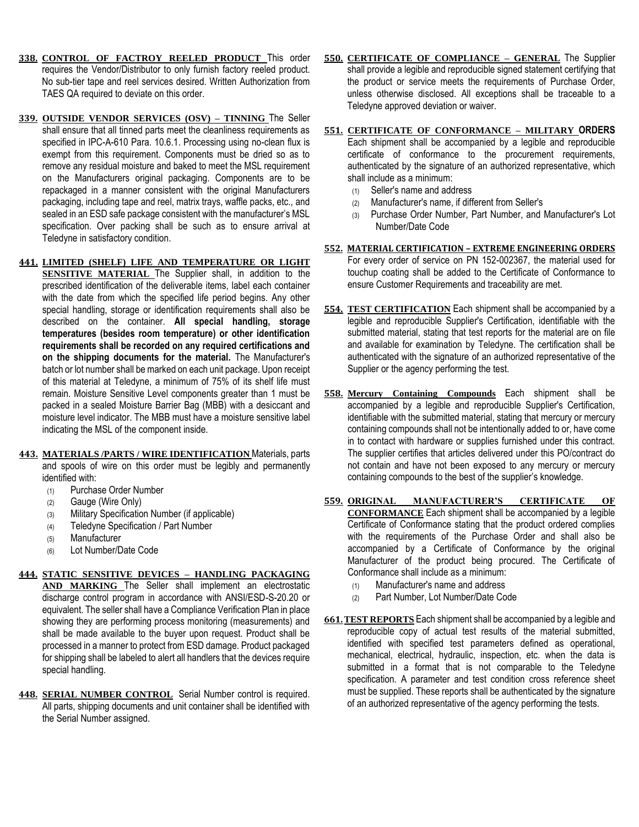- **338. CONTROL OF FACTROY REELED PRODUCT** This order requires the Vendor/Distributor to only furnish factory reeled product. No sub-tier tape and reel services desired. Written Authorization from TAES QA required to deviate on this order.
- **339. OUTSIDE VENDOR SERVICES (OSV) – TINNING** The Seller shall ensure that all tinned parts meet the cleanliness requirements as specified in IPC-A-610 Para. 10.6.1. Processing using no-clean flux is exempt from this requirement. Components must be dried so as to remove any residual moisture and baked to meet the MSL requirement on the Manufacturers original packaging. Components are to be repackaged in a manner consistent with the original Manufacturers packaging, including tape and reel, matrix trays, waffle packs, etc., and sealed in an ESD safe package consistent with the manufacturer's MSL specification. Over packing shall be such as to ensure arrival at Teledyne in satisfactory condition.
- **441. LIMITED (SHELF) LIFE AND TEMPERATURE OR LIGHT SENSITIVE MATERIAL** The Supplier shall, in addition to the prescribed identification of the deliverable items, label each container with the date from which the specified life period begins. Any other special handling, storage or identification requirements shall also be described on the container. **All special handling, storage temperatures (besides room temperature) or other identification requirements shall be recorded on any required certifications and on the shipping documents for the material.** The Manufacturer's batch or lot number shall be marked on each unit package. Upon receipt of this material at Teledyne, a minimum of 75% of its shelf life must remain. Moisture Sensitive Level components greater than 1 must be packed in a sealed Moisture Barrier Bag (MBB) with a desiccant and moisture level indicator. The MBB must have a moisture sensitive label indicating the MSL of the component inside.
- **443. MATERIALS /PARTS / WIRE IDENTIFICATION** Materials, parts and spools of wire on this order must be legibly and permanently identified with:
	- (1) Purchase Order Number
	- (2) Gauge (Wire Only)
	- (3) Military Specification Number (if applicable)
	- (4) Teledyne Specification / Part Number
	- (5) Manufacturer
	- (6) Lot Number/Date Code

### **444. STATIC SENSITIVE DEVICES – HANDLING PACKAGING**

- **AND MARKING** The Seller shall implement an electrostatic discharge control program in accordance with ANSI/ESD-S-20.20 or equivalent. The seller shall have a Compliance Verification Plan in place showing they are performing process monitoring (measurements) and shall be made available to the buyer upon request. Product shall be processed in a manner to protect from ESD damage. Product packaged for shipping shall be labeled to alert all handlers that the devices require special handling.
- **448. SERIAL NUMBER CONTROL** Serial Number control is required. All parts, shipping documents and unit container shall be identified with the Serial Number assigned.

**550. CERTIFICATE OF COMPLIANCE – GENERAL** The Supplier shall provide a legible and reproducible signed statement certifying that the product or service meets the requirements of Purchase Order, unless otherwise disclosed. All exceptions shall be traceable to a Teledyne approved deviation or waiver.

#### **551. CERTIFICATE OF CONFORMANCE – MILITARY ORDERS** Each shipment shall be accompanied by a legible and reproducible certificate of conformance to the procurement requirements, authenticated by the signature of an authorized representative, which shall include as a minimum:

- (1) Seller's name and address
- (2) Manufacturer's name, if different from Seller's
- (3) Purchase Order Number, Part Number, and Manufacturer's Lot Number/Date Code
- **552. MATERIAL CERTIFICATION – EXTREME ENGINEERING ORDERS** For every order of service on PN 152-002367, the material used for touchup coating shall be added to the Certificate of Conformance to ensure Customer Requirements and traceability are met.
- **554. TEST CERTIFICATION** Each shipment shall be accompanied by a legible and reproducible Supplier's Certification, identifiable with the submitted material, stating that test reports for the material are on file and available for examination by Teledyne. The certification shall be authenticated with the signature of an authorized representative of the Supplier or the agency performing the test.
- **558. Mercury Containing Compounds** Each shipment shall be accompanied by a legible and reproducible Supplier's Certification, identifiable with the submitted material, stating that mercury or mercury containing compounds shall not be intentionally added to or, have come in to contact with hardware or supplies furnished under this contract. The supplier certifies that articles delivered under this PO/contract do not contain and have not been exposed to any mercury or mercury containing compounds to the best of the supplier's knowledge.
- **559. ORIGINAL MANUFACTURER'S CERTIFICATE OF CONFORMANCE** Each shipment shall be accompanied by a legible Certificate of Conformance stating that the product ordered complies with the requirements of the Purchase Order and shall also be accompanied by a Certificate of Conformance by the original Manufacturer of the product being procured. The Certificate of Conformance shall include as a minimum:
	- (1) Manufacturer's name and address
	- (2) Part Number, Lot Number/Date Code
- **661.TEST REPORTS** Each shipment shall be accompanied by a legible and reproducible copy of actual test results of the material submitted, identified with specified test parameters defined as operational, mechanical, electrical, hydraulic, inspection, etc. when the data is submitted in a format that is not comparable to the Teledyne specification. A parameter and test condition cross reference sheet must be supplied. These reports shall be authenticated by the signature of an authorized representative of the agency performing the tests.